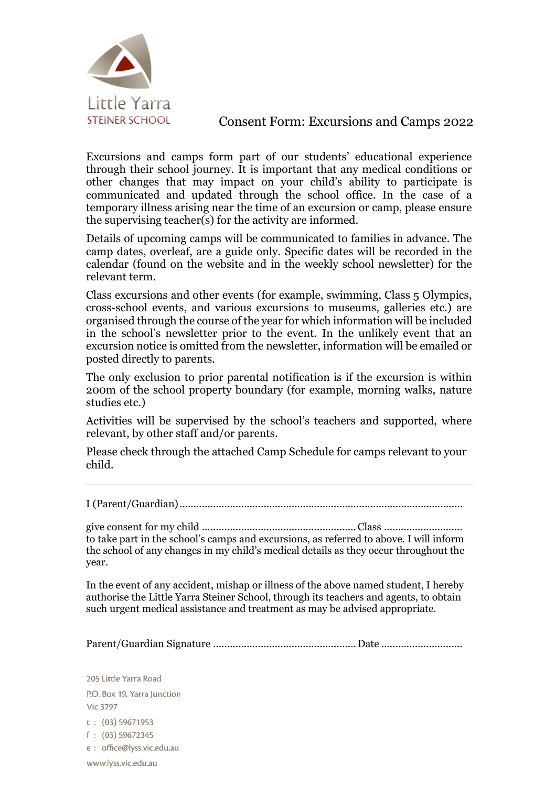

# Consent Form: Excursions and Camps 2022

Excursions and camps form part of our students' educational experience through their school journey. It is important that any medical conditions or other changes that may impact on your child's ability to participate is communicated and updated through the school office. In the case of a temporary illness arising near the time of an excursion or camp, please ensure the supervising teacher(s) for the activity are informed.

Details of upcoming camps will be communicated to families in advance. The camp dates, overleaf, are a guide only. Specific dates will be recorded in the calendar (found on the website and in the weekly school newsletter) for the relevant term.

Class excursions and other events (for example, swimming, Class 5 Olympics, cross-school events, and various excursions to museums, galleries etc.) are organised through the course of the year for which information will be included in the school's newsletter prior to the event. In the unlikely event that an excursion notice is omitted from the newsletter, information will be emailed or posted directly to parents.

The only exclusion to prior parental notification is if the excursion is within 200m of the school property boundary (for example, morning walks, nature studies etc.)

Activities will be supervised by the school's teachers and supported, where relevant, by other staff and/or parents.

Please check through the attached Camp Schedule for camps relevant to your child.

I (Parent/Guardian).....................................................................................................

give consent for my child .......................................................Class ............................ to take part in the school's camps and excursions, as referred to above. I will inform the school of any changes in my child's medical details as they occur throughout the year.

In the event of any accident, mishap or illness of the above named student, I hereby authorise the Little Yarra Steiner School, through its teachers and agents, to obtain such urgent medical assistance and treatment as may be advised appropriate.

Parent/Guardian Signature ................................................... Date .............................

205 Little Yarra Road P.O. Box 19, Yarra Junction **Vic 3797**  $t: (03) 59671953$  $f: (03) 59672345$ e : office@lyss.vic.edu.au www.lyss.vic.edu.au